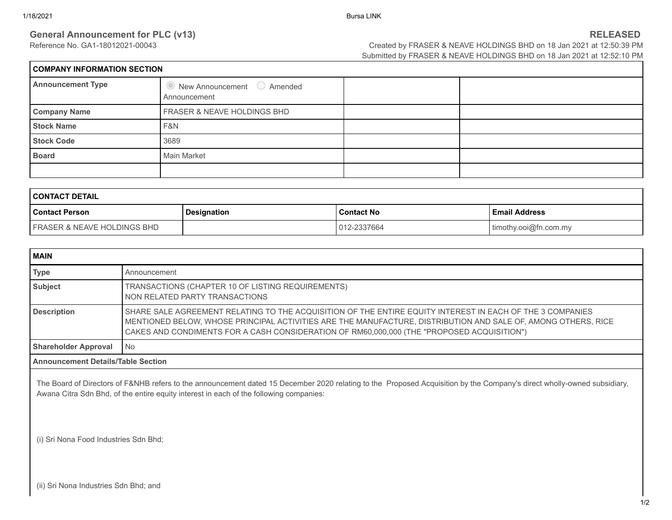## **General Announcement for PLC (v13)**<br>Reference No. GA1-18012021-00043<br>Created by FRASER & NEAVE HOLDINGS BHD on 18 Jan 2021 at 12:50:39 PM

Created by FRASER & NEAVE HOLDINGS BHD on 18 Jan 2021 at 12:50:39 PM Submitted by FRASER & NEAVE HOLDINGS BHD on 18 Jan 2021 at 12:52:10 PM

| <b>COMPANY INFORMATION SECTION</b> |                                                            |  |  |  |  |
|------------------------------------|------------------------------------------------------------|--|--|--|--|
| <b>Announcement Type</b>           | $\bullet$ New Announcement $\circ$ Amended<br>Announcement |  |  |  |  |
| <b>Company Name</b>                | FRASER & NEAVE HOLDINGS BHD                                |  |  |  |  |
| <b>Stock Name</b>                  | F&N                                                        |  |  |  |  |
| <b>Stock Code</b>                  | 3689                                                       |  |  |  |  |
| <b>Board</b>                       | Main Market                                                |  |  |  |  |
|                                    |                                                            |  |  |  |  |

| I CONTACT DETAIL                       |             |                   |                       |  |  |  |  |
|----------------------------------------|-------------|-------------------|-----------------------|--|--|--|--|
| l Contact Person                       | Designation | <b>Contact No</b> | l Email Address       |  |  |  |  |
| <b>FRASER &amp; NEAVE HOLDINGS BHD</b> |             | 012-2337664       | timothy.ooi@fn.com.my |  |  |  |  |

| MAIN                                      |                                                                                                                                                                                                                                                                                                                          |  |
|-------------------------------------------|--------------------------------------------------------------------------------------------------------------------------------------------------------------------------------------------------------------------------------------------------------------------------------------------------------------------------|--|
| <b>Type</b>                               | Announcement                                                                                                                                                                                                                                                                                                             |  |
| <b>Subject</b>                            | TRANSACTIONS (CHAPTER 10 OF LISTING REQUIREMENTS)<br>NON RELATED PARTY TRANSACTIONS                                                                                                                                                                                                                                      |  |
| <b>Description</b>                        | SHARE SALE AGREEMENT RELATING TO THE ACQUISITION OF THE ENTIRE EQUITY INTEREST IN EACH OF THE 3 COMPANIES<br>MENTIONED BELOW, WHOSE PRINCIPAL ACTIVITIES ARE THE MANUFACTURE, DISTRIBUTION AND SALE OF, AMONG OTHERS, RICE<br>CAKES AND CONDIMENTS FOR A CASH CONSIDERATION OF RM60,000,000 (THE "PROPOSED ACQUISITION") |  |
| <b>Shareholder Approval</b>               | No                                                                                                                                                                                                                                                                                                                       |  |
| <b>Announcement Details/Table Section</b> |                                                                                                                                                                                                                                                                                                                          |  |

The Board of Directors of F&NHB refers to the announcement dated 15 December 2020 relating to the Proposed Acquisition by the Company's direct wholly-owned subsidiary, Awana Citra Sdn Bhd, of the entire equity interest in each of the following companies:

(i) Sri Nona Food Industries Sdn Bhd;